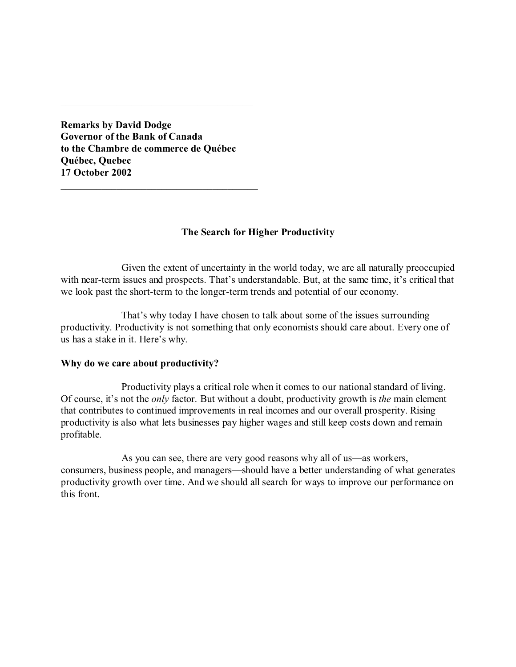**Remarks by David Dodge Governor of the Bank of Canada to the Chambre de commerce de Québec Québec, Quebec 17 October 2002**

\_\_\_\_\_\_\_\_\_\_\_\_\_\_\_\_\_\_\_\_\_\_\_\_\_\_\_\_\_\_\_\_\_\_\_\_\_\_\_

\_\_\_\_\_\_\_\_\_\_\_\_\_\_\_\_\_\_\_\_\_\_\_\_\_\_\_\_\_\_\_\_\_\_\_\_\_\_

## **The Search for Higher Productivity**

Given the extent of uncertainty in the world today, we are all naturally preoccupied with near-term issues and prospects. That's understandable. But, at the same time, it's critical that we look past the short-term to the longer-term trends and potential of our economy.

That's why today I have chosen to talk about some of the issues surrounding productivity. Productivity is not something that only economists should care about. Every one of us has a stake in it. Here's why.

#### **Why do we care about productivity?**

Productivity plays a critical role when it comes to our national standard of living. Of course, it's not the *only* factor. But without a doubt, productivity growth is *the* main element that contributes to continued improvements in real incomes and our overall prosperity. Rising productivity is also what lets businesses pay higher wages and still keep costs down and remain profitable.

As you can see, there are very good reasons why all of us—as workers, consumers, business people, and managers—should have a better understanding of what generates productivity growth over time. And we should all search for ways to improve our performance on this front.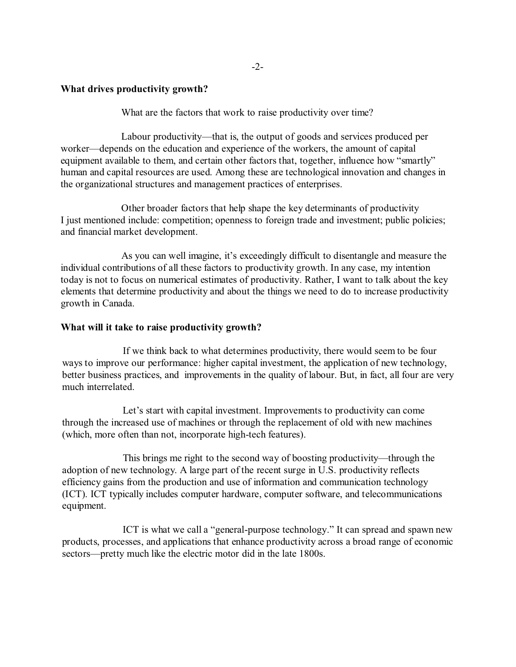# **What drives productivity growth?**

What are the factors that work to raise productivity over time?

Labour productivity—that is, the output of goods and services produced per worker—depends on the education and experience of the workers, the amount of capital equipment available to them, and certain other factors that, together, influence how "smartly" human and capital resources are used. Among these are technological innovation and changes in the organizational structures and management practices of enterprises.

Other broader factors that help shape the key determinants of productivity I just mentioned include: competition; openness to foreign trade and investment; public policies; and financial market development.

As you can well imagine, it's exceedingly difficult to disentangle and measure the individual contributions of all these factors to productivity growth. In any case, my intention today is not to focus on numerical estimates of productivity. Rather, I want to talk about the key elements that determine productivity and about the things we need to do to increase productivity growth in Canada.

# **What will it take to raise productivity growth?**

If we think back to what determines productivity, there would seem to be four ways to improve our performance: higher capital investment, the application of new technology, better business practices, and improvements in the quality of labour. But, in fact, all four are very much interrelated.

Let's start with capital investment. Improvements to productivity can come through the increased use of machines or through the replacement of old with new machines (which, more often than not, incorporate high-tech features).

This brings me right to the second way of boosting productivity—through the adoption of new technology. A large part of the recent surge in U.S. productivity reflects efficiency gains from the production and use of information and communication technology (ICT). ICT typically includes computer hardware, computer software, and telecommunications equipment.

ICT is what we call a "general-purpose technology." It can spread and spawn new products, processes, and applications that enhance productivity across a broad range of economic sectors—pretty much like the electric motor did in the late 1800s.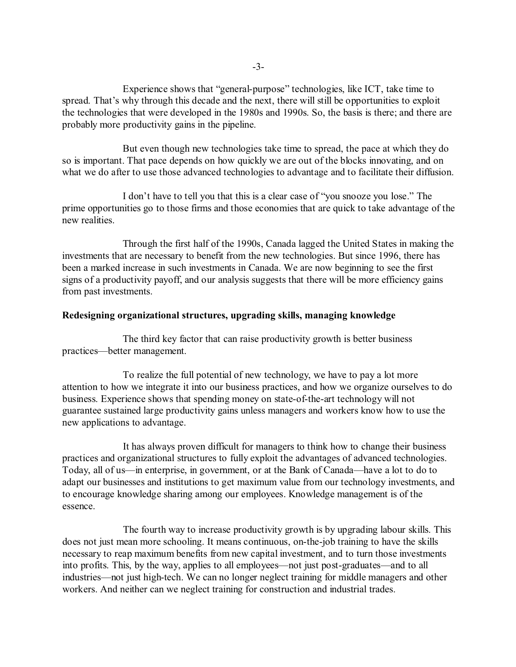Experience shows that "general-purpose" technologies, like ICT, take time to spread. That's why through this decade and the next, there will still be opportunities to exploit the technologies that were developed in the 1980s and 1990s. So, the basis is there; and there are probably more productivity gains in the pipeline.

But even though new technologies take time to spread, the pace at which they do so is important. That pace depends on how quickly we are out of the blocks innovating, and on what we do after to use those advanced technologies to advantage and to facilitate their diffusion.

I don't have to tell you that this is a clear case of "you snooze you lose." The prime opportunities go to those firms and those economies that are quick to take advantage of the new realities.

Through the first half of the 1990s, Canada lagged the United States in making the investments that are necessary to benefit from the new technologies. But since 1996, there has been a marked increase in such investments in Canada. We are now beginning to see the first signs of a productivity payoff, and our analysis suggests that there will be more efficiency gains from past investments.

## **Redesigning organizational structures, upgrading skills, managing knowledge**

The third key factor that can raise productivity growth is better business practices—better management.

To realize the full potential of new technology, we have to pay a lot more attention to how we integrate it into our business practices, and how we organize ourselves to do business. Experience shows that spending money on state-of-the-art technology will not guarantee sustained large productivity gains unless managers and workers know how to use the new applications to advantage.

It has always proven difficult for managers to think how to change their business practices and organizational structures to fully exploit the advantages of advanced technologies. Today, all of us—in enterprise, in government, or at the Bank of Canada—have a lot to do to adapt our businesses and institutions to get maximum value from our technology investments, and to encourage knowledge sharing among our employees. Knowledge management is of the essence.

The fourth way to increase productivity growth is by upgrading labour skills. This does not just mean more schooling. It means continuous, on-the-job training to have the skills necessary to reap maximum benefits from new capital investment, and to turn those investments into profits. This, by the way, applies to all employees—not just post-graduates—and to all industries—not just high-tech. We can no longer neglect training for middle managers and other workers. And neither can we neglect training for construction and industrial trades.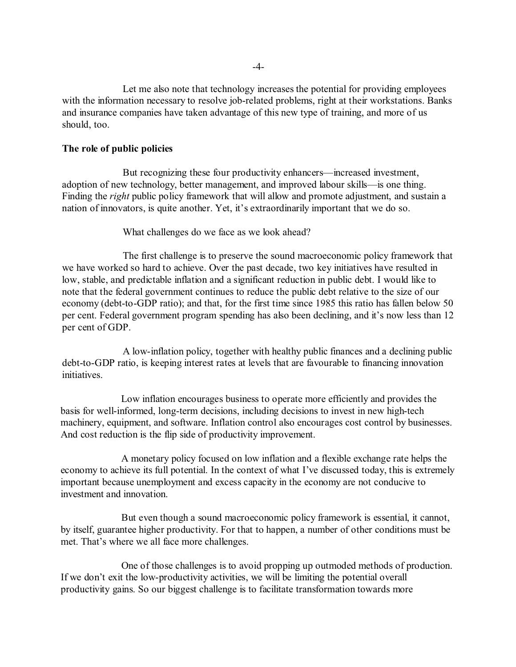Let me also note that technology increases the potential for providing employees with the information necessary to resolve job-related problems, right at their workstations. Banks and insurance companies have taken advantage of this new type of training, and more of us should, too.

#### **The role of public policies**

But recognizing these four productivity enhancers—increased investment, adoption of new technology, better management, and improved labour skills—is one thing. Finding the *right* public policy framework that will allow and promote adjustment, and sustain a nation of innovators, is quite another. Yet, it's extraordinarily important that we do so.

What challenges do we face as we look ahead?

The first challenge is to preserve the sound macroeconomic policy framework that we have worked so hard to achieve. Over the past decade, two key initiatives have resulted in low, stable, and predictable inflation and a significant reduction in public debt. I would like to note that the federal government continues to reduce the public debt relative to the size of our economy (debt-to-GDP ratio); and that, for the first time since 1985 this ratio has fallen below 50 per cent. Federal government program spending has also been declining, and it's now less than 12 per cent of GDP.

A low-inflation policy, together with healthy public finances and a declining public debt-to-GDP ratio, is keeping interest rates at levels that are favourable to financing innovation initiatives.

Low inflation encourages business to operate more efficiently and provides the basis for well-informed, long-term decisions, including decisions to invest in new high-tech machinery, equipment, and software. Inflation control also encourages cost control by businesses. And cost reduction is the flip side of productivity improvement.

A monetary policy focused on low inflation and a flexible exchange rate helps the economy to achieve its full potential. In the context of what I've discussed today, this is extremely important because unemployment and excess capacity in the economy are not conducive to investment and innovation.

But even though a sound macroeconomic policy framework is essential, it cannot, by itself, guarantee higher productivity. For that to happen, a number of other conditions must be met. That's where we all face more challenges.

One of those challenges is to avoid propping up outmoded methods of production. If we don't exit the low-productivity activities, we will be limiting the potential overall productivity gains. So our biggest challenge is to facilitate transformation towards more